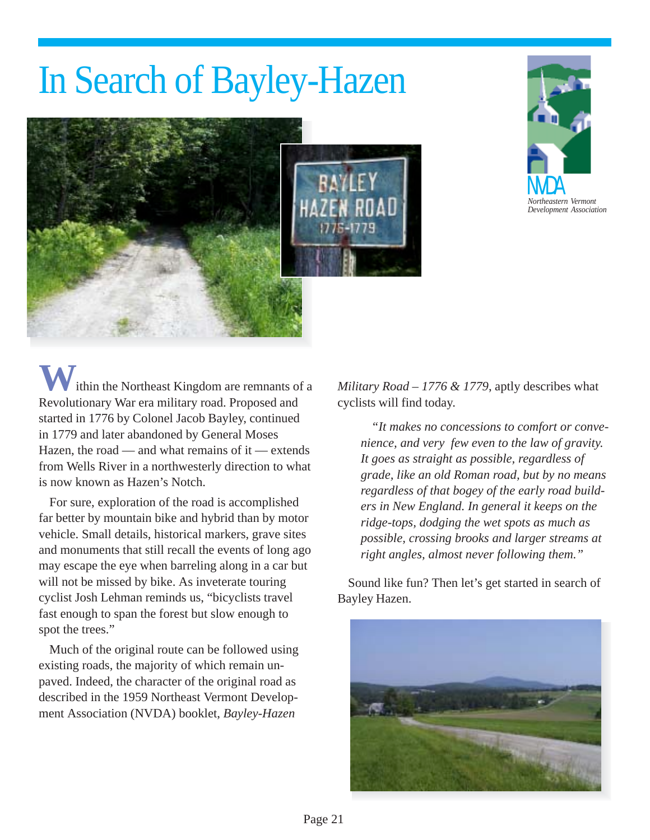# In Search of Bayley-Hazen





ithin the Northeast Kingdom are remnants of a Revolutionary War era military road. Proposed and started in 1776 by Colonel Jacob Bayley, continued in 1779 and later abandoned by General Moses Hazen, the road — and what remains of it — extends from Wells River in a northwesterly direction to what is now known as Hazen's Notch.

For sure, exploration of the road is accomplished far better by mountain bike and hybrid than by motor vehicle. Small details, historical markers, grave sites and monuments that still recall the events of long ago may escape the eye when barreling along in a car but will not be missed by bike. As inveterate touring cyclist Josh Lehman reminds us, "bicyclists travel fast enough to span the forest but slow enough to spot the trees."

Much of the original route can be followed using existing roads, the majority of which remain unpaved. Indeed, the character of the original road as described in the 1959 Northeast Vermont Development Association (NVDA) booklet, *Bayley-Hazen*

*Military Road – 1776 & 1779*, aptly describes what cyclists will find today.

*"It makes no concessions to comfort or convenience, and very few even to the law of gravity. It goes as straight as possible, regardless of grade, like an old Roman road, but by no means regardless of that bogey of the early road builders in New England. In general it keeps on the ridge-tops, dodging the wet spots as much as possible, crossing brooks and larger streams at right angles, almost never following them."*

Sound like fun? Then let's get started in search of Bayley Hazen.

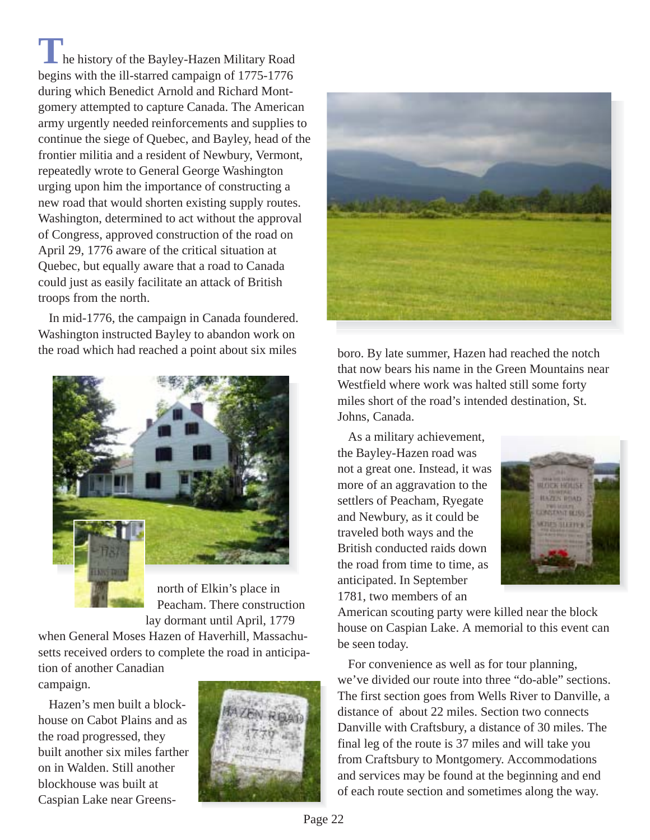**T**he history of the Bayley-Hazen Military Road begins with the ill-starred campaign of 1775-1776 during which Benedict Arnold and Richard Montgomery attempted to capture Canada. The American army urgently needed reinforcements and supplies to continue the siege of Quebec, and Bayley, head of the frontier militia and a resident of Newbury, Vermont, repeatedly wrote to General George Washington urging upon him the importance of constructing a new road that would shorten existing supply routes. Washington, determined to act without the approval of Congress, approved construction of the road on April 29, 1776 aware of the critical situation at Quebec, but equally aware that a road to Canada could just as easily facilitate an attack of British troops from the north.

In mid-1776, the campaign in Canada foundered. Washington instructed Bayley to abandon work on the road which had reached a point about six miles



north of Elkin's place in Peacham. There construction lay dormant until April, 1779

when General Moses Hazen of Haverhill, Massachusetts received orders to complete the road in anticipation of another Canadian campaign.

Hazen's men built a blockhouse on Cabot Plains and as the road progressed, they built another six miles farther on in Walden. Still another blockhouse was built at Caspian Lake near Greens-





boro. By late summer, Hazen had reached the notch that now bears his name in the Green Mountains near Westfield where work was halted still some forty miles short of the road's intended destination, St. Johns, Canada.

As a military achievement, the Bayley-Hazen road was not a great one. Instead, it was more of an aggravation to the settlers of Peacham, Ryegate and Newbury, as it could be traveled both ways and the British conducted raids down the road from time to time, as anticipated. In September 1781, two members of an



American scouting party were killed near the block house on Caspian Lake. A memorial to this event can be seen today.

For convenience as well as for tour planning, we've divided our route into three "do-able" sections. The first section goes from Wells River to Danville, a distance of about 22 miles. Section two connects Danville with Craftsbury, a distance of 30 miles. The final leg of the route is 37 miles and will take you from Craftsbury to Montgomery. Accommodations and services may be found at the beginning and end of each route section and sometimes along the way.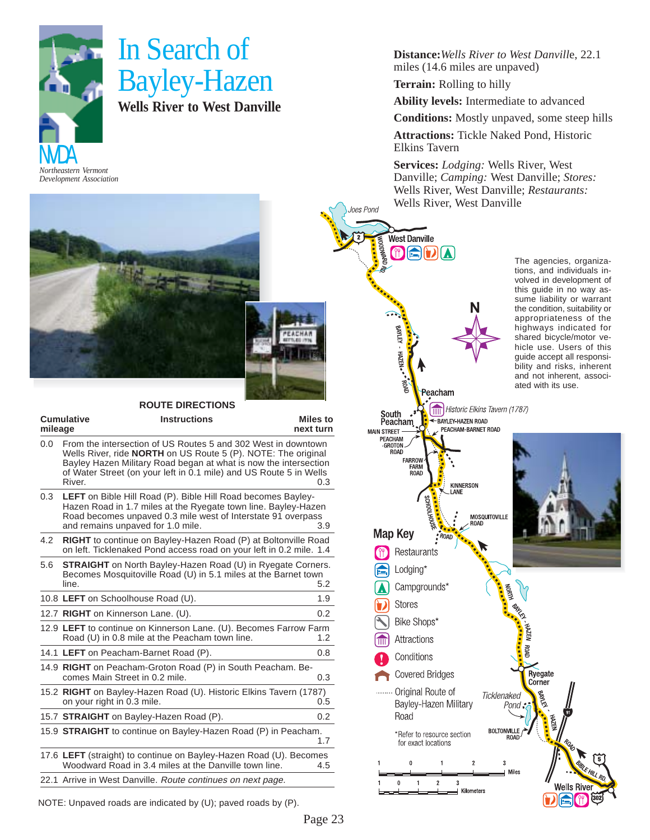

### In Search of Bayley-Hazen **Wells River to West Danville**

#### **ROUTE DIRECTIONS**

| <b>Cumulative</b><br>mileage | <b>Instructions</b>                                                                                                                                                                                                                                                      | Miles to<br>next turn |
|------------------------------|--------------------------------------------------------------------------------------------------------------------------------------------------------------------------------------------------------------------------------------------------------------------------|-----------------------|
| 0.0<br>River.                | From the intersection of US Routes 5 and 302 West in downtown<br>Wells River, ride NORTH on US Route 5 (P). NOTE: The original<br>Bayley Hazen Military Road began at what is now the intersection<br>of Water Street (on your left in 0.1 mile) and US Route 5 in Wells | 0.3                   |
| 0.3                          | <b>LEFT</b> on Bible Hill Road (P). Bible Hill Road becomes Bayley-<br>Hazen Road in 1.7 miles at the Ryegate town line. Bayley-Hazen<br>Road becomes unpaved 0.3 mile west of Interstate 91 overpass<br>and remains unpaved for 1.0 mile.                               | 3.9                   |
| 4.2                          | <b>RIGHT</b> to continue on Bayley-Hazen Road (P) at Boltonville Road<br>on left. Ticklenaked Pond access road on your left in 0.2 mile. 1.4                                                                                                                             |                       |
| 5.6<br>line.                 | <b>STRAIGHT</b> on North Bayley-Hazen Road (U) in Ryegate Corners.<br>Becomes Mosquitoville Road (U) in 5.1 miles at the Barnet town                                                                                                                                     | 5.2                   |
|                              | 10.8 LEFT on Schoolhouse Road (U).                                                                                                                                                                                                                                       | 1.9                   |
|                              | 12.7 RIGHT on Kinnerson Lane. (U).                                                                                                                                                                                                                                       | 0.2                   |
|                              | 12.9 LEFT to continue on Kinnerson Lane. (U). Becomes Farrow Farm<br>Road (U) in 0.8 mile at the Peacham town line.                                                                                                                                                      | 1.2                   |
|                              | 14.1 LEFT on Peacham-Barnet Road (P).                                                                                                                                                                                                                                    | 0.8                   |
|                              | 14.9 RIGHT on Peacham-Groton Road (P) in South Peacham. Be-<br>comes Main Street in 0.2 mile.                                                                                                                                                                            | 0.3                   |
|                              | 15.2 RIGHT on Bayley-Hazen Road (U). Historic Elkins Tavern (1787)<br>on your right in 0.3 mile.                                                                                                                                                                         | 0.5                   |
|                              | 15.7 <b>STRAIGHT</b> on Bayley-Hazen Road (P).                                                                                                                                                                                                                           | 0.2                   |
|                              | 15.9 <b>STRAIGHT</b> to continue on Bayley-Hazen Road (P) in Peacham.                                                                                                                                                                                                    | 1.7                   |
|                              | 17.6 LEFT (straight) to continue on Bayley-Hazen Road (U). Becomes<br>Woodward Road in 3.4 miles at the Danville town line.                                                                                                                                              | 4.5                   |
|                              | 22.1 Arrive in West Danville. Route continues on next page.                                                                                                                                                                                                              |                       |

NOTE: Unpaved roads are indicated by (U); paved roads by (P).

**Distance:***Wells River to West Danvill*e, 22.1 miles (14.6 miles are unpaved)

**Terrain:** Rolling to hilly

loes Pond

**THAMPOOM** 

**West Danville** 

BAYLEY - HAZEN - \* ROAD<br>TAYLEY - HAZEN - \* ROAD

Peacham

**OEDIA** 

**Ability levels:** Intermediate to advanced

**Conditions:** Mostly unpaved, some steep hills

**Attractions:** Tickle Naked Pond, Historic Elkins Tavern

**Services:** *Lodging:* Wells River, West Danville; *Camping:* West Danville; *Stores:* Wells River, West Danville; *Restaurants:* Wells River, West Danville



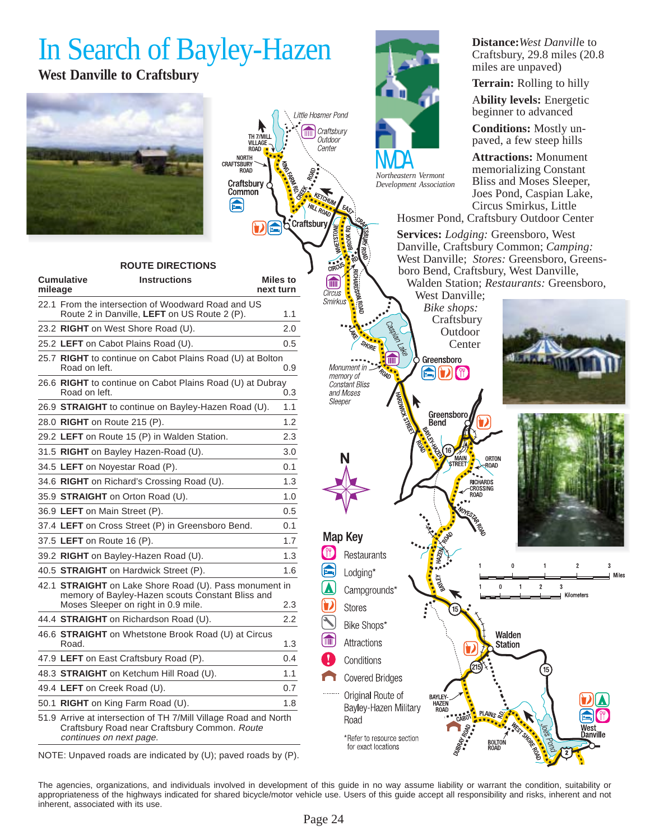## In Search of Bayley-Hazen

### **West Danville to Craftsbury**





#### **ROUTE DIRECTIONS**

| mileage | <b>Cumulative</b> | <b>Instructions</b>                                                                                                                         | <b>Miles to</b><br>next turn |
|---------|-------------------|---------------------------------------------------------------------------------------------------------------------------------------------|------------------------------|
|         |                   | 22.1 From the intersection of Woodward Road and US<br>Route 2 in Danville, LEFT on US Route 2 (P).                                          | 1.1                          |
|         |                   | 23.2 RIGHT on West Shore Road (U).                                                                                                          | 2.0                          |
|         |                   | 25.2 LEFT on Cabot Plains Road (U).                                                                                                         | 0.5                          |
|         | Road on left.     | 25.7 RIGHT to continue on Cabot Plains Road (U) at Bolton                                                                                   | 0.9                          |
|         | Road on left.     | 26.6 RIGHT to continue on Cabot Plains Road (U) at Dubray                                                                                   | 0.3                          |
|         |                   | 26.9 STRAIGHT to continue on Bayley-Hazen Road (U).                                                                                         | 1.1                          |
|         |                   | 28.0 RIGHT on Route 215 (P).                                                                                                                | 1.2                          |
|         |                   | 29.2 LEFT on Route 15 (P) in Walden Station.                                                                                                | 2.3                          |
|         |                   | 31.5 RIGHT on Bayley Hazen-Road (U).                                                                                                        | 3.0                          |
|         |                   | 34.5 LEFT on Noyestar Road (P).                                                                                                             | 0.1                          |
|         |                   | 34.6 RIGHT on Richard's Crossing Road (U).                                                                                                  | 1.3                          |
|         |                   | 35.9 STRAIGHT on Orton Road (U).                                                                                                            | 1.0                          |
|         |                   | 36.9 LEFT on Main Street (P).                                                                                                               | 0.5                          |
|         |                   | 37.4 LEFT on Cross Street (P) in Greensboro Bend.                                                                                           | 0.1                          |
|         |                   | 37.5 LEFT on Route 16 (P).                                                                                                                  | 1.7                          |
|         |                   | 39.2 RIGHT on Bayley-Hazen Road (U).                                                                                                        | 1.3                          |
|         |                   | 40.5 <b>STRAIGHT</b> on Hardwick Street (P).                                                                                                | 1.6                          |
|         |                   | 42.1 STRAIGHT on Lake Shore Road (U). Pass monument in<br>memory of Bayley-Hazen scouts Constant Bliss and                                  |                              |
|         |                   | Moses Sleeper on right in 0.9 mile.                                                                                                         | 2.3                          |
|         |                   | 44.4 <b>STRAIGHT</b> on Richardson Road (U).                                                                                                | 2.2                          |
|         | Road.             | 46.6 STRAIGHT on Whetstone Brook Road (U) at Circus                                                                                         | 1.3                          |
|         |                   | 47.9 LEFT on East Craftsbury Road (P).                                                                                                      | 0.4                          |
|         |                   | 48.3 <b>STRAIGHT</b> on Ketchum Hill Road (U).                                                                                              | 1.1                          |
|         |                   | 49.4 LEFT on Creek Road (U).                                                                                                                | 0.7                          |
|         |                   | 50.1 RIGHT on King Farm Road (U).                                                                                                           | 1.8                          |
|         |                   | 51.9 Arrive at intersection of TH 7/Mill Village Road and North<br>Craftsbury Road near Craftsbury Common. Route<br>continues on next page. |                              |



*Development Association*

**Distance:***West Danvill*e to Craftsbury, 29.8 miles (20.8 miles are unpaved)

**Terrain:** Rolling to hilly

A**bility levels:** Energetic beginner to advanced

**Conditions:** Mostly unpaved, a few steep hills

**Attractions:** Monument memorializing Constant Bliss and Moses Sleeper, Joes Pond, Caspian Lake, Circus Smirkus, Little

Hosmer Pond, Craftsbury Outdoor Center

**Services:** *Lodging:* Greensboro, West Danville, Craftsbury Common; *Camping:* West Danville; *Stores:* Greensboro, Greensboro Bend, Craftsbury, West Danville, Walden Station; *Restaurants:* Greensboro,

Circus West Danville; Smirkus *Bike shops:* Craftsbury **Outdoor** Center  $\widehat{\mathbb{H}}$ Greensboro Monument in.  $\bigcirc$  ( )  $\bigcirc$ memory of **Constant Bliss** and Moses Sleeper Greensbor Bend 16) MAIN ORTON -ROAD RICHARDS **CROSSING ROAD Map Key COP** Restaurants  $\overline{3}$  $\overline{2}$ Lodging\* **Miles**  $\theta$  $\overline{2}$ 3 Campgrounds' Kilometers **Stores** Bike Shops\* Walden Attractions **Station** Conditions **Covered Bridges** Original Route of BAYLEY<br>HAZEI Bayley-Hazen Military PLAIN<sub>S</sub> Road \*Refer to resource section BOLTON<br>ROAD

NOTE: Unpaved roads are indicated by (U); paved roads by (P).

The agencies, organizations, and individuals involved in development of this guide in no way assume liability or warrant the condition, suitability or appropriateness of the highways indicated for shared bicycle/motor vehicle use. Users of this guide accept all responsibility and risks, inherent and not inherent, associated with its use.

for exact locations